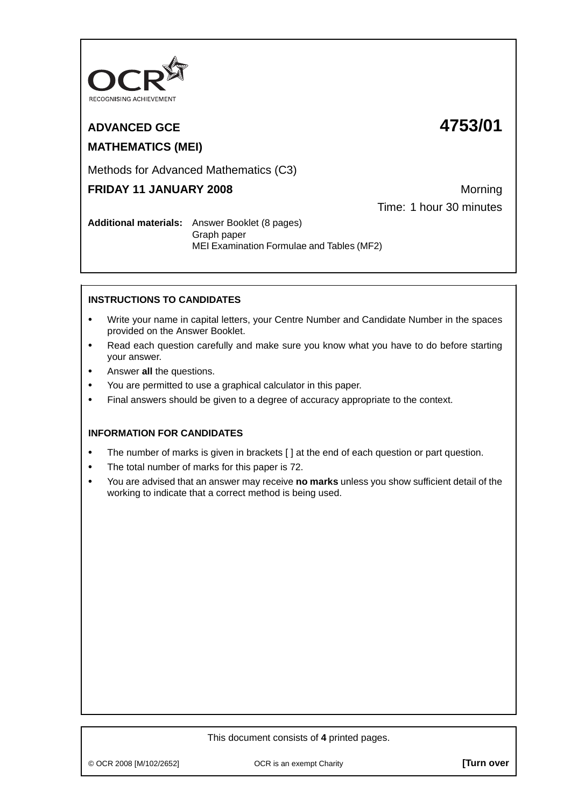

# **ADVANCED GCE 4753/01 MATHEMATICS (MEI)**

Methods for Advanced Mathematics (C3)

# **FRIDAY 11 JANUARY 2008** Morning

Time: 1 hour 30 minutes

**Additional materials:** Answer Booklet (8 pages) Graph paper MEI Examination Formulae and Tables (MF2)

## **INSTRUCTIONS TO CANDIDATES**

- **•** Write your name in capital letters, your Centre Number and Candidate Number in the spaces provided on the Answer Booklet.
- **•** Read each question carefully and make sure you know what you have to do before starting your answer.
- **•** Answer **all** the questions.
- **•** You are permitted to use a graphical calculator in this paper.
- **•** Final answers should be given to a degree of accuracy appropriate to the context.

### **INFORMATION FOR CANDIDATES**

- The number of marks is given in brackets [ ] at the end of each question or part question.
- **•** The total number of marks for this paper is 72.
- **•** You are advised that an answer may receive **no marks** unless you show sufficient detail of the working to indicate that a correct method is being used.

© OCR 2008 [M/102/2652] OCR is an exempt Charity **[Turn over**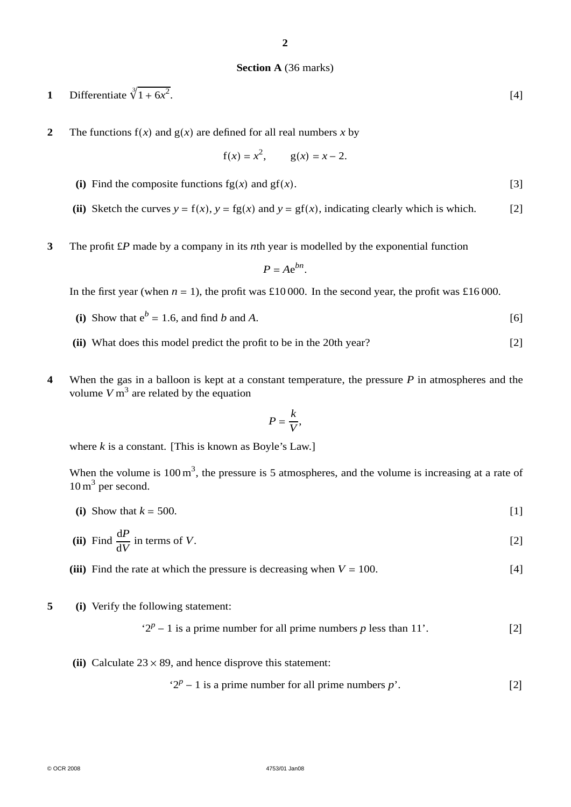#### **Section A** (36 marks)

- **1** Differentiate  $\sqrt[3]{1+6x^2}$ .  $[4]$
- **2** The functions  $f(x)$  and  $g(x)$  are defined for all real numbers *x* by

$$
f(x) = x^2
$$
,  $g(x) = x - 2$ .

- (i) Find the composite functions  $fg(x)$  and  $gf(x)$ . [3]
- (ii) Sketch the curves  $y = f(x)$ ,  $y = fg(x)$  and  $y = gf(x)$ , indicating clearly which is which. [2]
- **3** The profit £*P* made by a company in its *n*th year is modelled by the exponential function

$$
P=Ae^{bn}.
$$

In the first year (when  $n = 1$ ), the profit was £10 000. In the second year, the profit was £16 000.

- (i) Show that  $e^b = 1.6$ , and find *b* and *A*. [6]
- **(ii)** What does this model predict the profit to be in the 20th year? [2]
- **4** When the gas in a balloon is kept at a constant temperature, the pressure *P* in atmospheres and the volume  $V \text{ m}^3$  are related by the equation

$$
P=\frac{k}{V},
$$

where  $k$  is a constant. [This is known as Boyle's Law.]

When the volume is  $100 \text{ m}^3$ , the pressure is 5 atmospheres, and the volume is increasing at a rate of  $10 \,\mathrm{m}^3$  per second.

(i) Show that  $k = 500$ . [1]

(ii) Find 
$$
\frac{dP}{dV}
$$
 in terms of V. [2]

**(iii)** Find the rate at which the pressure is decreasing when  $V = 100$ . [4]

**5 (i)** Verify the following statement:

$$
2p - 1
$$
 is a prime number for all prime numbers *p* less than 11'. [2]

(ii) Calculate  $23 \times 89$ , and hence disprove this statement:

$$
2p - 1
$$
 is a prime number for all prime numbers  $p$ ′. [2]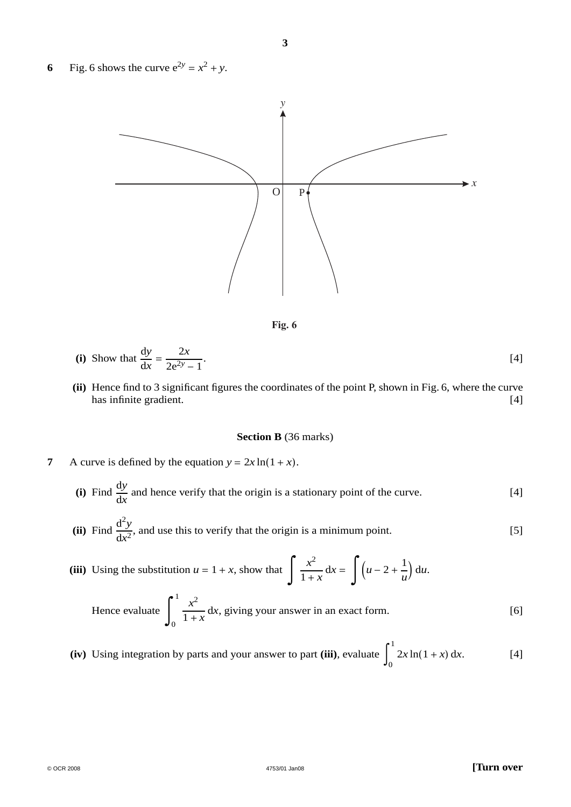**6** Fig. 6 shows the curve  $e^{2y} = x^2 + y$ .





(i) Show that 
$$
\frac{dy}{dx} = \frac{2x}{2e^{2y} - 1}
$$
.

**(ii)** Hence find to 3 significant figures the coordinates of the point P, shown in Fig. 6, where the curve has infinite gradient. [4] has infinite gradient.

#### **Section B** (36 marks)

- **7** A curve is defined by the equation  $y = 2x \ln(1 + x)$ .
	- (i) Find  $\frac{dy}{dx}$  and hence verify that the origin is a stationary point of the curve. [4]
	- (ii) Find  $\frac{d^2y}{dx^2}$ , and use this to verify that the origin is a minimum point. [5]
	- (iii) Using the substitution  $u = 1 + x$ , show that  $\int \frac{x^2}{1 + x} dx = \int (u 2 + \frac{1}{u}) dx$  $\frac{1}{u}$  d*u*.

Hence evaluate 
$$
\int_0^1 \frac{x^2}{1+x} dx
$$
, giving your answer in an exact form. [6]

 $(iv)$  Using integration by parts and your answer to part  $(iii)$ , evaluate 1  $2x \ln(1+x) dx.$  [4]